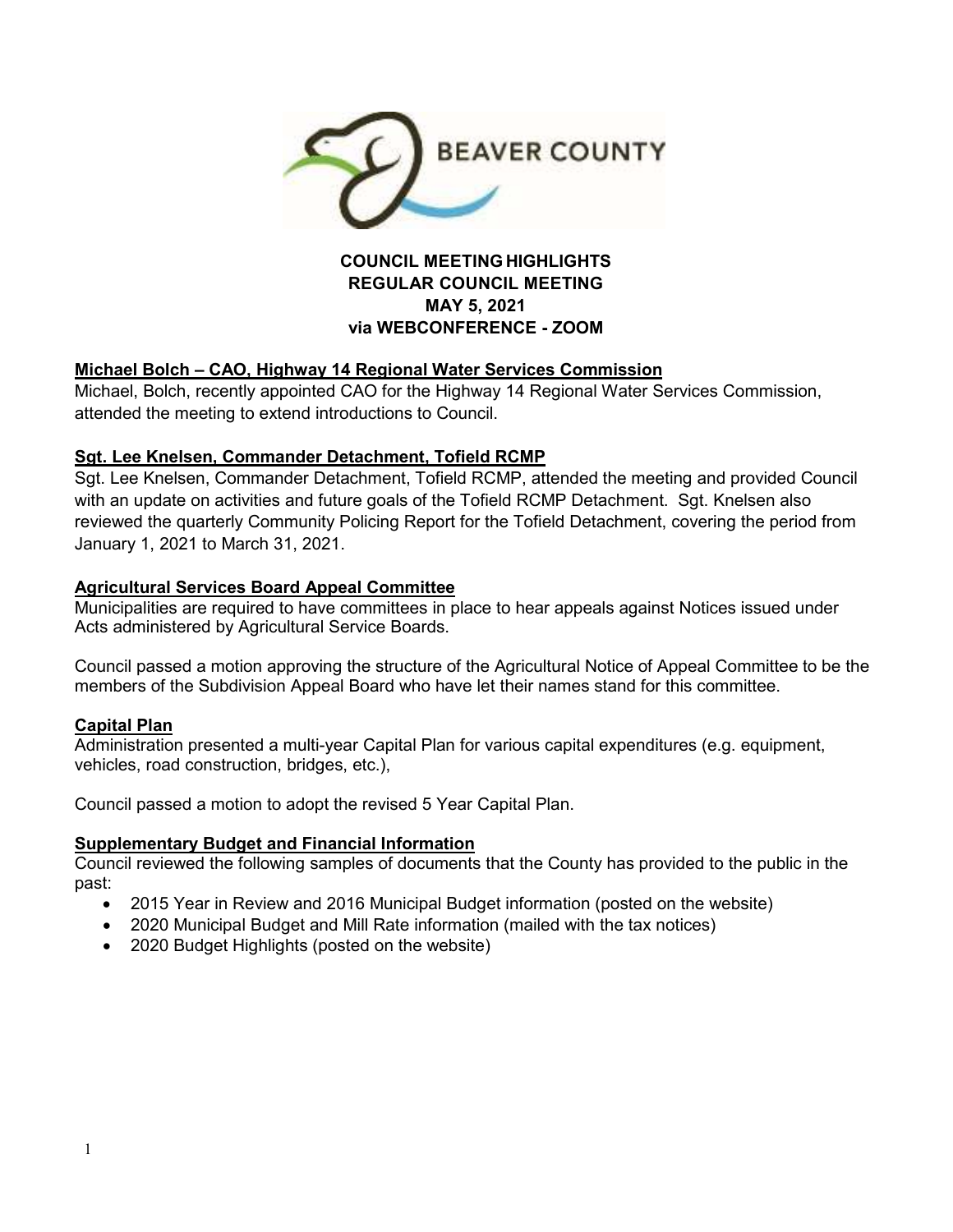

## **COUNCIL MEETING HIGHLIGHTS REGULAR COUNCIL MEETING MAY 5, 2021 via WEBCONFERENCE - ZOOM**

### **Michael Bolch – CAO, Highway 14 Regional Water Services Commission**

Michael, Bolch, recently appointed CAO for the Highway 14 Regional Water Services Commission, attended the meeting to extend introductions to Council.

### **Sgt. Lee Knelsen, Commander Detachment, Tofield RCMP**

Sgt. Lee Knelsen, Commander Detachment, Tofield RCMP, attended the meeting and provided Council with an update on activities and future goals of the Tofield RCMP Detachment. Sgt. Knelsen also reviewed the quarterly Community Policing Report for the Tofield Detachment, covering the period from January 1, 2021 to March 31, 2021.

### **Agricultural Services Board Appeal Committee**

Municipalities are required to have committees in place to hear appeals against Notices issued under Acts administered by Agricultural Service Boards.

Council passed a motion approving the structure of the Agricultural Notice of Appeal Committee to be the members of the Subdivision Appeal Board who have let their names stand for this committee.

### **Capital Plan**

Administration presented a multi-year Capital Plan for various capital expenditures (e.g. equipment, vehicles, road construction, bridges, etc.),

Council passed a motion to adopt the revised 5 Year Capital Plan.

### **Supplementary Budget and Financial Information**

Council reviewed the following samples of documents that the County has provided to the public in the past:

- 2015 Year in Review and 2016 Municipal Budget information (posted on the website)
- 2020 Municipal Budget and Mill Rate information (mailed with the tax notices)
- 2020 Budget Highlights (posted on the website)